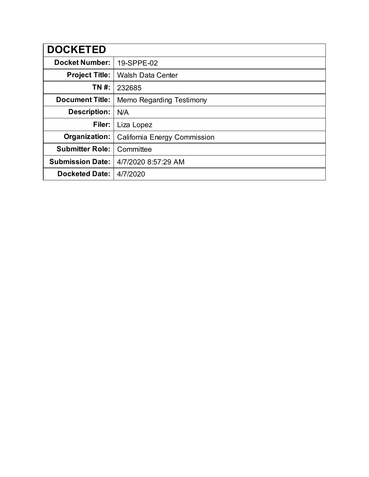| <b>DOCKETED</b>         |                              |
|-------------------------|------------------------------|
| <b>Docket Number:</b>   | 19-SPPE-02                   |
| <b>Project Title:</b>   | <b>Walsh Data Center</b>     |
| TN #:                   | 232685                       |
| <b>Document Title:</b>  | Memo Regarding Testimony     |
| <b>Description:</b>     | N/A                          |
| Filer:                  | Liza Lopez                   |
| Organization:           | California Energy Commission |
| <b>Submitter Role:</b>  | Committee                    |
| <b>Submission Date:</b> | 4/7/2020 8:57:29 AM          |
| <b>Docketed Date:</b>   | 4/7/2020                     |